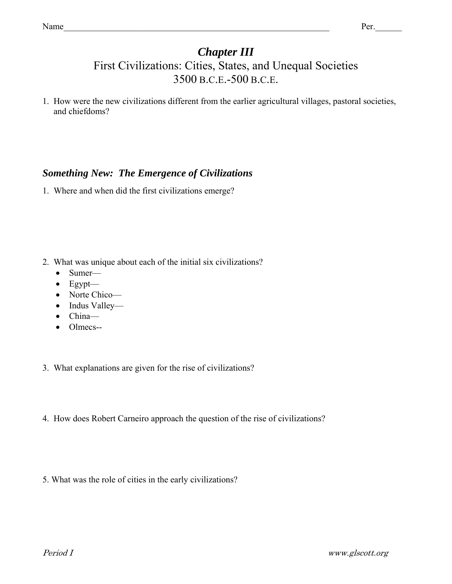# *Chapter III*

# First Civilizations: Cities, States, and Unequal Societies 3500 B.C.E.-500 B.C.E.

1. How were the new civilizations different from the earlier agricultural villages, pastoral societies, and chiefdoms?

## *Something New: The Emergence of Civilizations*

1. Where and when did the first civilizations emerge?

- 2. What was unique about each of the initial six civilizations?
	- Sumer-
	- $\bullet$  Egypt—
	- Norte Chico—
	- Indus Valley—
	- China—
	- Olmecs--
- 3. What explanations are given for the rise of civilizations?
- 4. How does Robert Carneiro approach the question of the rise of civilizations?
- 5. What was the role of cities in the early civilizations?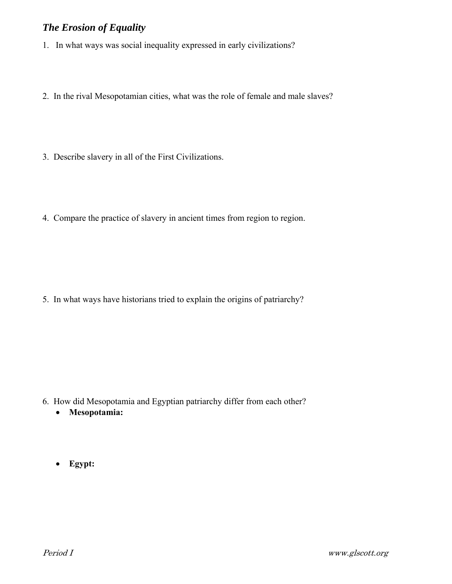#### *The Erosion of Equality*

- 1. In what ways was social inequality expressed in early civilizations?
- 2. In the rival Mesopotamian cities, what was the role of female and male slaves?
- 3. Describe slavery in all of the First Civilizations.
- 4. Compare the practice of slavery in ancient times from region to region.

5. In what ways have historians tried to explain the origins of patriarchy?

- 6. How did Mesopotamia and Egyptian patriarchy differ from each other?
	- **Mesopotamia:**
	- **Egypt:**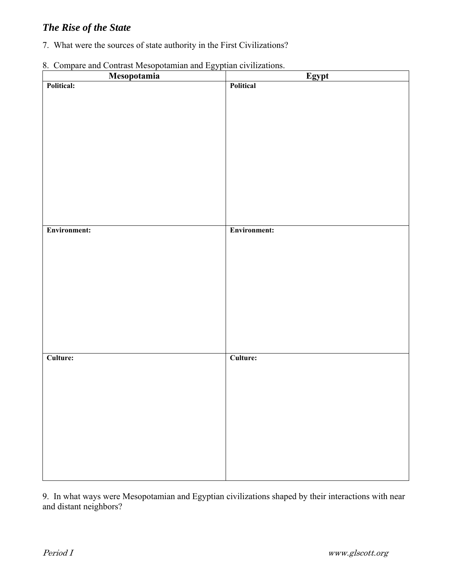## *The Rise of the State*

7. What were the sources of state authority in the First Civilizations?

| 8. Compare and Contrast Mesopotamian and Egyptian civilizations. |  |
|------------------------------------------------------------------|--|
|------------------------------------------------------------------|--|

| 6. Compare and Contrast Incooporation and Egyptian crymisations.<br>Mesopotamia | Egypt        |
|---------------------------------------------------------------------------------|--------------|
| Political:                                                                      | Political    |
|                                                                                 |              |
|                                                                                 |              |
|                                                                                 |              |
|                                                                                 |              |
|                                                                                 |              |
|                                                                                 |              |
|                                                                                 |              |
|                                                                                 |              |
|                                                                                 |              |
|                                                                                 |              |
|                                                                                 |              |
|                                                                                 |              |
|                                                                                 |              |
|                                                                                 |              |
|                                                                                 |              |
|                                                                                 |              |
| Environment:                                                                    | Environment: |
|                                                                                 |              |
|                                                                                 |              |
|                                                                                 |              |
|                                                                                 |              |
|                                                                                 |              |
|                                                                                 |              |
|                                                                                 |              |
|                                                                                 |              |
|                                                                                 |              |
|                                                                                 |              |
|                                                                                 |              |
|                                                                                 |              |
|                                                                                 |              |
|                                                                                 |              |
|                                                                                 |              |
| Culture:                                                                        | Culture:     |
|                                                                                 |              |
|                                                                                 |              |
|                                                                                 |              |
|                                                                                 |              |
|                                                                                 |              |
|                                                                                 |              |
|                                                                                 |              |
|                                                                                 |              |
|                                                                                 |              |
|                                                                                 |              |
|                                                                                 |              |
|                                                                                 |              |
|                                                                                 |              |
|                                                                                 |              |

9. In what ways were Mesopotamian and Egyptian civilizations shaped by their interactions with near and distant neighbors?